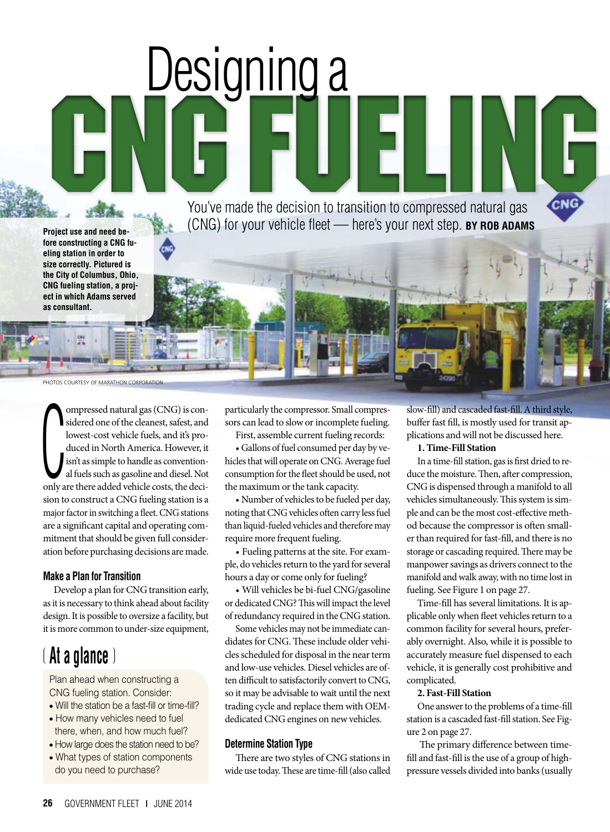You've made the decision to transition to compressed natural gas You've made the decision to transition to compressed natural gas (CNG) for your vehicle fleet — here's your next step. **BY ROB ADAMS**

**Project use and need before constructing a CNG fueling station in order to size correctly. Pictured is the City of Columbus, Ohio, CNG fueling station, a project in which Adams served as consultant.**

PHOTOS COURTESY OF MARATHON CORPORATION

duced in North America. However, it<br>
isn't as simple to handle as convention-<br>
al fuels such as gasoline and diesel. Not<br>
only are there added vehicle costs, the deciompressed natural gas (CNG) is considered one of the cleanest, safest, and lowest-cost vehicle fuels, and it's produced in North America. However, it isn't as simple to handle as conventional fuels such as gasoline and diesel. Not sion to construct a CNG fueling station is a major factor in switching a fleet. CNG stations are a significant capital and operating commitment that should be given full consideration before purchasing decisions are made.

# **Make a Plan for Transition**

Develop a plan for CNG transition early, as it is necessary to think ahead about facility design. It is possible to oversize a facility, but it is more common to under-size equipment,

# ❲ **At a glance** ❳

Plan ahead when constructing a CNG fueling station. Consider:

- Will the station be a fast-fill or time-fill?
- How many vehicles need to fuel there, when, and how much fuel?
- How large does the station need to be?
- What types of station components do you need to purchase?

particularly the compressor. Small compressors can lead to slow or incomplete fueling.

Designing a

First, assemble current fueling records:

• Gallons of fuel consumed per day by vehicles that will operate on CNG. Average fuel consumption for the fleet should be used, not the maximum or the tank capacity.

• Number of vehicles to be fueled per day, noting that CNG vehicles often carry less fuel than liquid-fueled vehicles and therefore may require more frequent fueling.

• Fueling patterns at the site. For example, do vehicles return to the yard for several hours a day or come only for fueling?

• Will vehicles be bi-fuel CNG/gasoline or dedicated CNG? This will impact the level of redundancy required in the CNG station.

Some vehicles may not be immediate candidates for CNG. These include older vehicles scheduled for disposal in the near term and low-use vehicles. Diesel vehicles are often difficult to satisfactorily convert to CNG, so it may be advisable to wait until the next trading cycle and replace them with OEMdedicated CNG engines on new vehicles.

### **Determine Station Type**

There are two styles of CNG stations in wide use today. These are time-fill (also called slow-fill) and cascaded fast-fill. A third style, buffer fast fill, is mostly used for transit applications and will not be discussed here.

### **1. Time-Fill Station**

In a time-fill station, gas is first dried to reduce the moisture. Then, after compression, CNG is dispensed through a manifold to all vehicles simultaneously. This system is simple and can be the most cost-effective method because the compressor is often smaller than required for fast-fill, and there is no storage or cascading required. There may be manpower savings as drivers connect to the manifold and walk away, with no time lost in fueling. See Figure 1 on page 27.

Time-fill has several limitations. It is applicable only when fleet vehicles return to a common facility for several hours, preferably overnight. Also, while it is possible to accurately measure fuel dispensed to each vehicle, it is generally cost prohibitive and complicated.

#### **2. Fast-Fill Station**

One answer to the problems of a time-fill station is a cascaded fast-fill station. See Figure 2 on page 27.

 The primary difference between timefill and fast-fill is the use of a group of highpressure vessels divided into banks (usually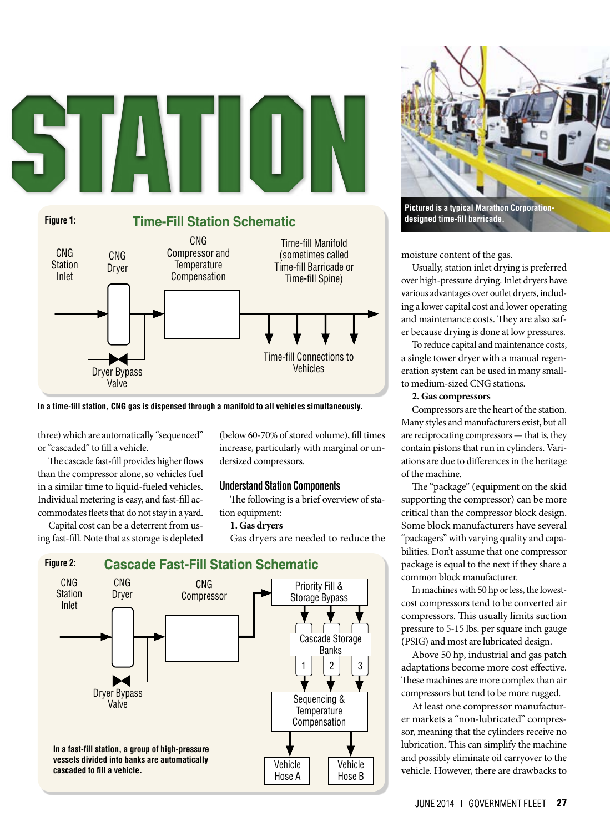

**In a time-fill station, CNG gas is dispensed through a manifold to all vehicles simultaneously.** 

three) which are automatically "sequenced" or "cascaded" to fill a vehicle.

The cascade fast-fill provides higher flows than the compressor alone, so vehicles fuel in a similar time to liquid-fueled vehicles. Individual metering is easy, and fast-fill accommodates fleets that do not stay in a yard.

Capital cost can be a deterrent from using fast-fill. Note that as storage is depleted (below 60-70% of stored volume), fill times increase, particularly with marginal or undersized compressors.

## **Understand Station Components**

The following is a brief overview of station equipment:

### **1. Gas dryers**

Gas dryers are needed to reduce the





**designed time-fill barricade.**

moisture content of the gas.

Usually, station inlet drying is preferred over high-pressure drying. Inlet dryers have various advantages over outlet dryers, including a lower capital cost and lower operating and maintenance costs. They are also safer because drying is done at low pressures.

To reduce capital and maintenance costs, a single tower dryer with a manual regeneration system can be used in many smallto medium-sized CNG stations.

### **2. Gas compressors**

Compressors are the heart of the station. Many styles and manufacturers exist, but all are reciprocating compressors — that is, they contain pistons that run in cylinders. Variations are due to differences in the heritage of the machine.

The "package" (equipment on the skid supporting the compressor) can be more critical than the compressor block design. Some block manufacturers have several "packagers" with varying quality and capabilities. Don't assume that one compressor package is equal to the next if they share a common block manufacturer.

In machines with 50 hp or less, the lowestcost compressors tend to be converted air compressors. This usually limits suction pressure to 5-15 lbs. per square inch gauge (PSIG) and most are lubricated design.

Above 50 hp, industrial and gas patch adaptations become more cost effective. These machines are more complex than air compressors but tend to be more rugged.

At least one compressor manufacturer markets a "non-lubricated" compressor, meaning that the cylinders receive no lubrication. This can simplify the machine and possibly eliminate oil carryover to the vehicle. However, there are drawbacks to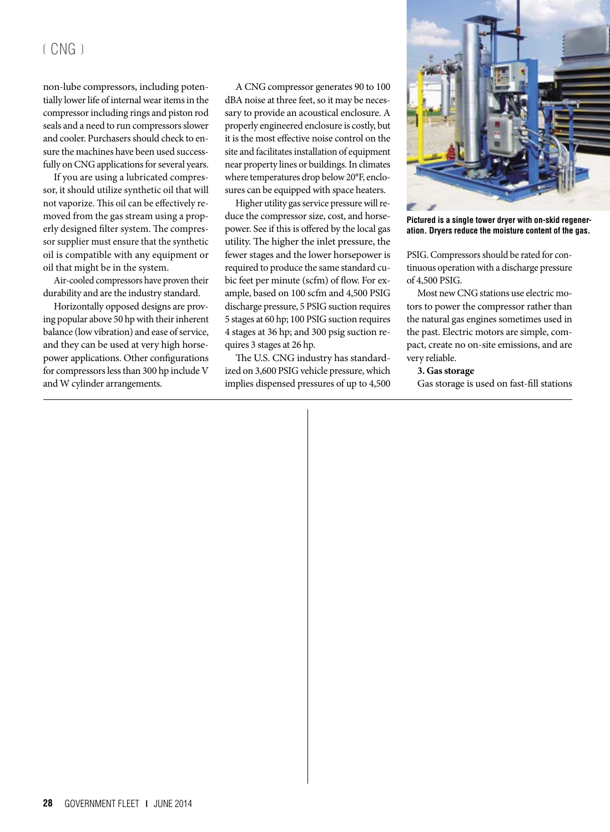# $($  CNG $)$

non-lube compressors, including potentially lower life of internal wear items in the compressor including rings and piston rod seals and a need to run compressors slower and cooler. Purchasers should check to ensure the machines have been used successfully on CNG applications for several years.

If you are using a lubricated compressor, it should utilize synthetic oil that will not vaporize. This oil can be effectively removed from the gas stream using a properly designed filter system. The compressor supplier must ensure that the synthetic oil is compatible with any equipment or oil that might be in the system.

Air-cooled compressors have proven their durability and are the industry standard.

Horizontally opposed designs are proving popular above 50 hp with their inherent balance (low vibration) and ease of service, and they can be used at very high horsepower applications. Other configurations for compressors less than 300 hp include V and W cylinder arrangements.

A CNG compressor generates 90 to 100 dBA noise at three feet, so it may be necessary to provide an acoustical enclosure. A properly engineered enclosure is costly, but it is the most effective noise control on the site and facilitates installation of equipment near property lines or buildings. In climates where temperatures drop below 20°F, enclosures can be equipped with space heaters.

Higher utility gas service pressure will reduce the compressor size, cost, and horsepower. See if this is offered by the local gas utility. The higher the inlet pressure, the fewer stages and the lower horsepower is required to produce the same standard cubic feet per minute (scfm) of flow. For example, based on 100 scfm and 4,500 PSIG discharge pressure, 5 PSIG suction requires 5 stages at 60 hp; 100 PSIG suction requires 4 stages at 36 hp; and 300 psig suction requires 3 stages at 26 hp.

The U.S. CNG industry has standardized on 3,600 PSIG vehicle pressure, which implies dispensed pressures of up to 4,500



**Pictured is a single tower dryer with on-skid regeneration. Dryers reduce the moisture content of the gas.**

PSIG. Compressors should be rated for continuous operation with a discharge pressure of 4,500 PSIG.

Most new CNG stations use electric motors to power the compressor rather than the natural gas engines sometimes used in the past. Electric motors are simple, compact, create no on-site emissions, and are very reliable.

#### **3. Gas storage**

Gas storage is used on fast-fill stations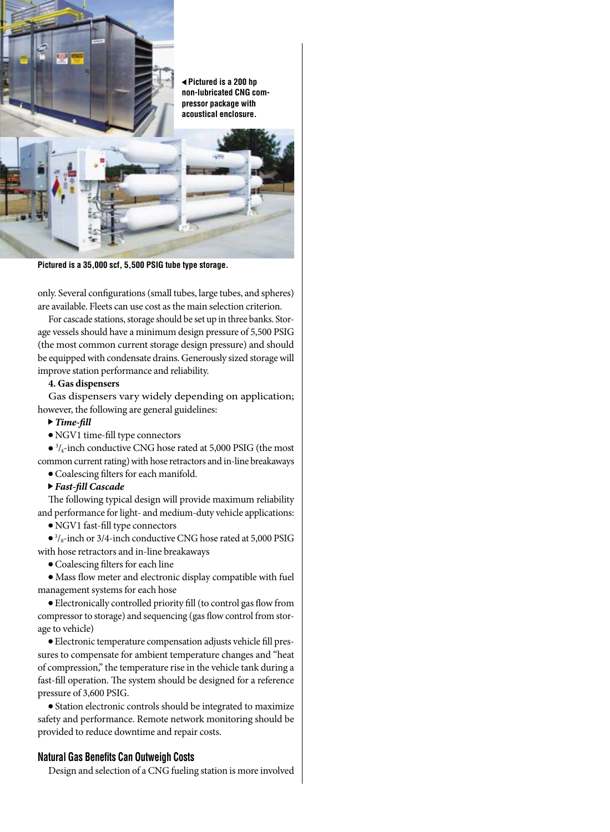**Pictured is a 200 hp non-lubricated CNG compressor package with acoustical enclosure.**



**Pictured is a 35,000 scf, 5,500 PSIG tube type storage.**

only. Several configurations (small tubes, large tubes, and spheres) are available. Fleets can use cost as the main selection criterion.

For cascade stations, storage should be set up in three banks. Storage vessels should have a minimum design pressure of 5,500 PSIG (the most common current storage design pressure) and should be equipped with condensate drains. Generously sized storage will improve station performance and reliability.

### **4. Gas dispensers**

Gas dispensers vary widely depending on application; however, the following are general guidelines:

- *Time-fill*
- NGV1 time-fill type connectors

 $\bullet$  <sup>3</sup>/<sub>4</sub>-inch conductive CNG hose rated at 5,000 PSIG (the most common current rating) with hose retractors and in-line breakaways

- Coalescing filters for each manifold.
- *Fast-fill Cascade*

The following typical design will provide maximum reliability and performance for light- and medium-duty vehicle applications:

● NGV1 fast-fill type connectors

● <sup>3</sup>/<sub>8</sub>-inch or 3/4-inch conductive CNG hose rated at 5,000 PSIG with hose retractors and in-line breakaways

● Coalescing filters for each line

● Mass flow meter and electronic display compatible with fuel management systems for each hose

● Electronically controlled priority fill (to control gas flow from compressor to storage) and sequencing (gas flow control from storage to vehicle)

● Electronic temperature compensation adjusts vehicle fill pressures to compensate for ambient temperature changes and "heat of compression," the temperature rise in the vehicle tank during a fast-fill operation. The system should be designed for a reference pressure of 3,600 PSIG.

● Station electronic controls should be integrated to maximize safety and performance. Remote network monitoring should be provided to reduce downtime and repair costs.

## **Natural Gas Benefits Can Outweigh Costs**

Design and selection of a CNG fueling station is more involved